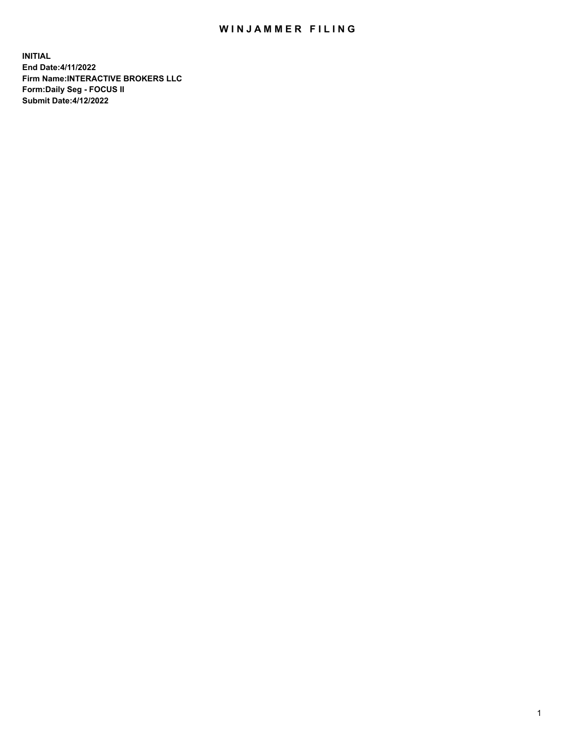## WIN JAMMER FILING

**INITIAL End Date:4/11/2022 Firm Name:INTERACTIVE BROKERS LLC Form:Daily Seg - FOCUS II Submit Date:4/12/2022**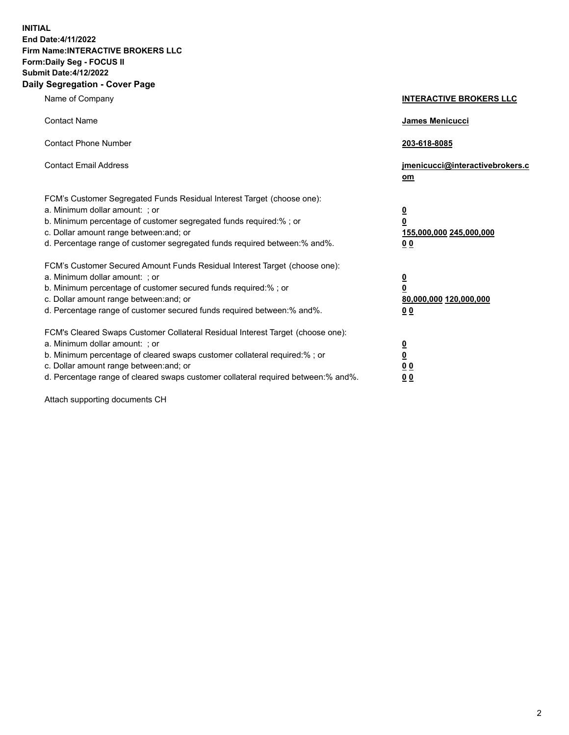**INITIAL End Date:4/11/2022 Firm Name:INTERACTIVE BROKERS LLC Form:Daily Seg - FOCUS II Submit Date:4/12/2022 Daily Segregation - Cover Page**

| Name of Company                                                                                                                                                                                                                                                                                                                | <b>INTERACTIVE BROKERS LLC</b>                                                                  |
|--------------------------------------------------------------------------------------------------------------------------------------------------------------------------------------------------------------------------------------------------------------------------------------------------------------------------------|-------------------------------------------------------------------------------------------------|
| <b>Contact Name</b>                                                                                                                                                                                                                                                                                                            | James Menicucci                                                                                 |
| <b>Contact Phone Number</b>                                                                                                                                                                                                                                                                                                    | 203-618-8085                                                                                    |
| <b>Contact Email Address</b>                                                                                                                                                                                                                                                                                                   | jmenicucci@interactivebrokers.c<br><u>om</u>                                                    |
| FCM's Customer Segregated Funds Residual Interest Target (choose one):<br>a. Minimum dollar amount: ; or<br>b. Minimum percentage of customer segregated funds required:% ; or<br>c. Dollar amount range between: and; or<br>d. Percentage range of customer segregated funds required between:% and%.                         | $\overline{\mathbf{0}}$<br>$\overline{\mathbf{0}}$<br>155,000,000 245,000,000<br>0 <sub>0</sub> |
| FCM's Customer Secured Amount Funds Residual Interest Target (choose one):<br>a. Minimum dollar amount: ; or<br>b. Minimum percentage of customer secured funds required:% ; or<br>c. Dollar amount range between: and; or<br>d. Percentage range of customer secured funds required between:% and%.                           | $\overline{\mathbf{0}}$<br>$\overline{\mathbf{0}}$<br>80,000,000 120,000,000<br>0 <sub>0</sub>  |
| FCM's Cleared Swaps Customer Collateral Residual Interest Target (choose one):<br>a. Minimum dollar amount: ; or<br>b. Minimum percentage of cleared swaps customer collateral required:% ; or<br>c. Dollar amount range between: and; or<br>d. Percentage range of cleared swaps customer collateral required between:% and%. | $\overline{\mathbf{0}}$<br>$\overline{\mathbf{0}}$<br>0 <sub>0</sub><br>0 <sub>0</sub>          |

Attach supporting documents CH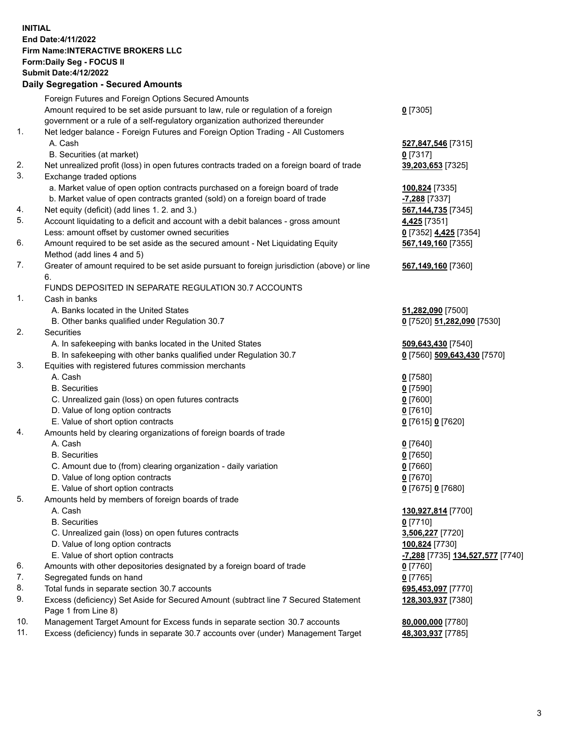## **INITIAL End Date:4/11/2022 Firm Name:INTERACTIVE BROKERS LLC Form:Daily Seg - FOCUS II Submit Date:4/12/2022 Daily Segregation - Secured Amounts**

|     | Daily Jegregation - Jeculed Aniounts                                                        |                                                             |
|-----|---------------------------------------------------------------------------------------------|-------------------------------------------------------------|
|     | Foreign Futures and Foreign Options Secured Amounts                                         |                                                             |
|     | Amount required to be set aside pursuant to law, rule or regulation of a foreign            | $0$ [7305]                                                  |
|     | government or a rule of a self-regulatory organization authorized thereunder                |                                                             |
| 1.  | Net ledger balance - Foreign Futures and Foreign Option Trading - All Customers             |                                                             |
|     | A. Cash                                                                                     | 527,847,546 [7315]                                          |
|     | B. Securities (at market)                                                                   | $0$ [7317]                                                  |
| 2.  | Net unrealized profit (loss) in open futures contracts traded on a foreign board of trade   | 39,203,653 [7325]                                           |
| 3.  | Exchange traded options                                                                     |                                                             |
|     | a. Market value of open option contracts purchased on a foreign board of trade              | 100,824 [7335]                                              |
|     | b. Market value of open contracts granted (sold) on a foreign board of trade                | -7,288 [7337]                                               |
| 4.  | Net equity (deficit) (add lines 1. 2. and 3.)                                               | 567, 144, 735 [7345]                                        |
| 5.  | Account liquidating to a deficit and account with a debit balances - gross amount           | 4,425 [7351]                                                |
|     | Less: amount offset by customer owned securities                                            | 0 [7352] 4,425 [7354]                                       |
| 6.  | Amount required to be set aside as the secured amount - Net Liquidating Equity              | 567,149,160 [7355]                                          |
|     | Method (add lines 4 and 5)                                                                  |                                                             |
| 7.  | Greater of amount required to be set aside pursuant to foreign jurisdiction (above) or line | 567,149,160 [7360]                                          |
|     | 6.                                                                                          |                                                             |
|     | FUNDS DEPOSITED IN SEPARATE REGULATION 30.7 ACCOUNTS                                        |                                                             |
| 1.  | Cash in banks                                                                               |                                                             |
|     | A. Banks located in the United States                                                       | 51,282,090 [7500]                                           |
|     | B. Other banks qualified under Regulation 30.7                                              | 0 [7520] 51,282,090 [7530]                                  |
| 2.  | Securities                                                                                  |                                                             |
|     | A. In safekeeping with banks located in the United States                                   | 509,643,430 [7540]                                          |
|     | B. In safekeeping with other banks qualified under Regulation 30.7                          | 0 [7560] 509,643,430 [7570]                                 |
| 3.  | Equities with registered futures commission merchants                                       |                                                             |
|     | A. Cash                                                                                     | $0$ [7580]                                                  |
|     | <b>B.</b> Securities                                                                        | $0$ [7590]                                                  |
|     | C. Unrealized gain (loss) on open futures contracts                                         | $0$ [7600]                                                  |
|     | D. Value of long option contracts                                                           | $0$ [7610]                                                  |
|     | E. Value of short option contracts                                                          | 0 [7615] 0 [7620]                                           |
| 4.  | Amounts held by clearing organizations of foreign boards of trade                           |                                                             |
|     | A. Cash                                                                                     | $0$ [7640]                                                  |
|     | <b>B.</b> Securities                                                                        | $0$ [7650]                                                  |
|     | C. Amount due to (from) clearing organization - daily variation                             | $0$ [7660]<br>$0$ [7670]                                    |
|     | D. Value of long option contracts<br>E. Value of short option contracts                     | 0 [7675] 0 [7680]                                           |
| 5.  |                                                                                             |                                                             |
|     | Amounts held by members of foreign boards of trade<br>A. Cash                               | 130,927,814 [7700]                                          |
|     | <b>B.</b> Securities                                                                        | $0$ [7710]                                                  |
|     | C. Unrealized gain (loss) on open futures contracts                                         | 3,506,227 [7720]                                            |
|     | D. Value of long option contracts                                                           | 100,824 [7730]                                              |
|     | E. Value of short option contracts                                                          | <mark>-7,288</mark> [7735] <b><u>134,527,577</u></b> [7740] |
| 6.  | Amounts with other depositories designated by a foreign board of trade                      | 0 [7760]                                                    |
| 7.  | Segregated funds on hand                                                                    | $0$ [7765]                                                  |
| 8.  | Total funds in separate section 30.7 accounts                                               | 695,453,097 [7770]                                          |
| 9.  | Excess (deficiency) Set Aside for Secured Amount (subtract line 7 Secured Statement         | 128,303,937 [7380]                                          |
|     | Page 1 from Line 8)                                                                         |                                                             |
| 10. | Management Target Amount for Excess funds in separate section 30.7 accounts                 | 80,000,000 [7780]                                           |
| 11. | Excess (deficiency) funds in separate 30.7 accounts over (under) Management Target          | 48,303,937 [7785]                                           |
|     |                                                                                             |                                                             |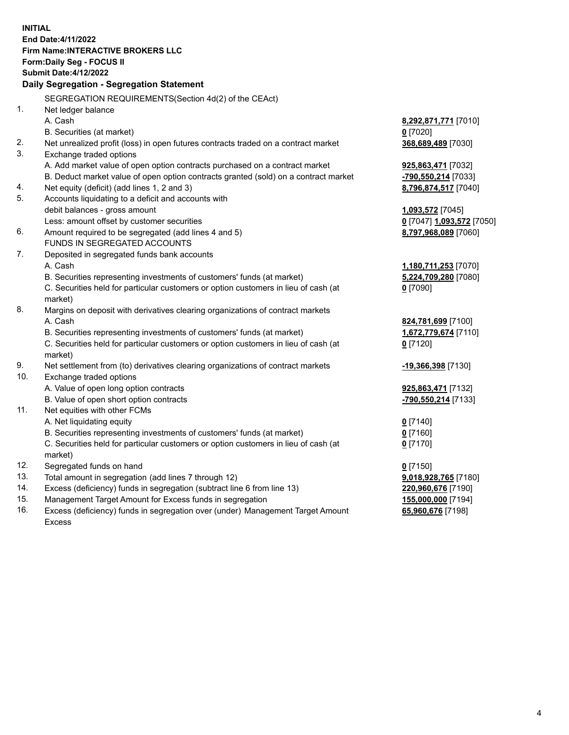**INITIAL End Date:4/11/2022 Firm Name:INTERACTIVE BROKERS LLC Form:Daily Seg - FOCUS II Submit Date:4/12/2022 Daily Segregation - Segregation Statement** SEGREGATION REQUIREMENTS(Section 4d(2) of the CEAct) 1. Net ledger balance A. Cash **8,292,871,771** [7010] B. Securities (at market) **0** [7020] 2. Net unrealized profit (loss) in open futures contracts traded on a contract market **368,689,489** [7030] 3. Exchange traded options A. Add market value of open option contracts purchased on a contract market **925,863,471** [7032] B. Deduct market value of open option contracts granted (sold) on a contract market **-790,550,214** [7033] 4. Net equity (deficit) (add lines 1, 2 and 3) **8,796,874,517** [7040] 5. Accounts liquidating to a deficit and accounts with debit balances - gross amount **1,093,572** [7045] Less: amount offset by customer securities **0** [7047] **1,093,572** [7050] 6. Amount required to be segregated (add lines 4 and 5) **8,797,968,089** [7060] FUNDS IN SEGREGATED ACCOUNTS 7. Deposited in segregated funds bank accounts A. Cash **1,180,711,253** [7070] B. Securities representing investments of customers' funds (at market) **5,224,709,280** [7080] C. Securities held for particular customers or option customers in lieu of cash (at market) **0** [7090] 8. Margins on deposit with derivatives clearing organizations of contract markets A. Cash **824,781,699** [7100] B. Securities representing investments of customers' funds (at market) **1,672,779,674** [7110] C. Securities held for particular customers or option customers in lieu of cash (at market) **0** [7120] 9. Net settlement from (to) derivatives clearing organizations of contract markets **-19,366,398** [7130] 10. Exchange traded options A. Value of open long option contracts **925,863,471** [7132] B. Value of open short option contracts **-790,550,214** [7133] 11. Net equities with other FCMs A. Net liquidating equity **0** [7140] B. Securities representing investments of customers' funds (at market) **0** [7160] C. Securities held for particular customers or option customers in lieu of cash (at market) **0** [7170] 12. Segregated funds on hand **0** [7150] 13. Total amount in segregation (add lines 7 through 12) **9,018,928,765** [7180] 14. Excess (deficiency) funds in segregation (subtract line 6 from line 13) **220,960,676** [7190] 15. Management Target Amount for Excess funds in segregation **155,000,000** [7194] 16. Excess (deficiency) funds in segregation over (under) Management Target Amount **65,960,676** [7198]

Excess